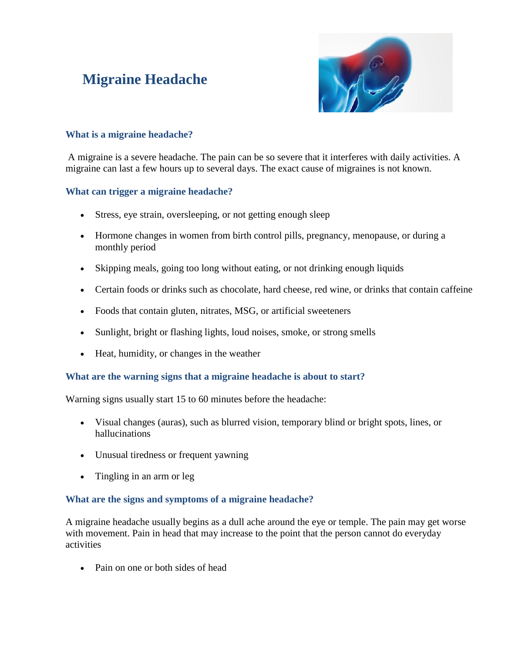# **Migraine Headache**



## **What is a migraine headache?**

A migraine is a severe headache. The pain can be so severe that it interferes with daily activities. A migraine can last a few hours up to several days. The exact cause of migraines is not known.

#### **What can trigger a migraine headache?**

- Stress, eye strain, oversleeping, or not getting enough sleep
- Hormone changes in women from birth control pills, pregnancy, menopause, or during a monthly period
- Skipping meals, going too long without eating, or not drinking enough liquids
- Certain foods or drinks such as chocolate, hard cheese, red wine, or drinks that contain caffeine
- Foods that contain gluten, nitrates, MSG, or artificial sweeteners
- Sunlight, bright or flashing lights, loud noises, smoke, or strong smells
- Heat, humidity, or changes in the weather

# **What are the warning signs that a migraine headache is about to start?**

Warning signs usually start 15 to 60 minutes before the headache:

- Visual changes (auras), such as blurred vision, temporary blind or bright spots, lines, or hallucinations
- Unusual tiredness or frequent yawning
- Tingling in an arm or leg

#### **What are the signs and symptoms of a migraine headache?**

A migraine headache usually begins as a dull ache around the eye or temple. The pain may get worse with movement. Pain in head that may increase to the point that the person cannot do everyday activities

• Pain on one or both sides of head